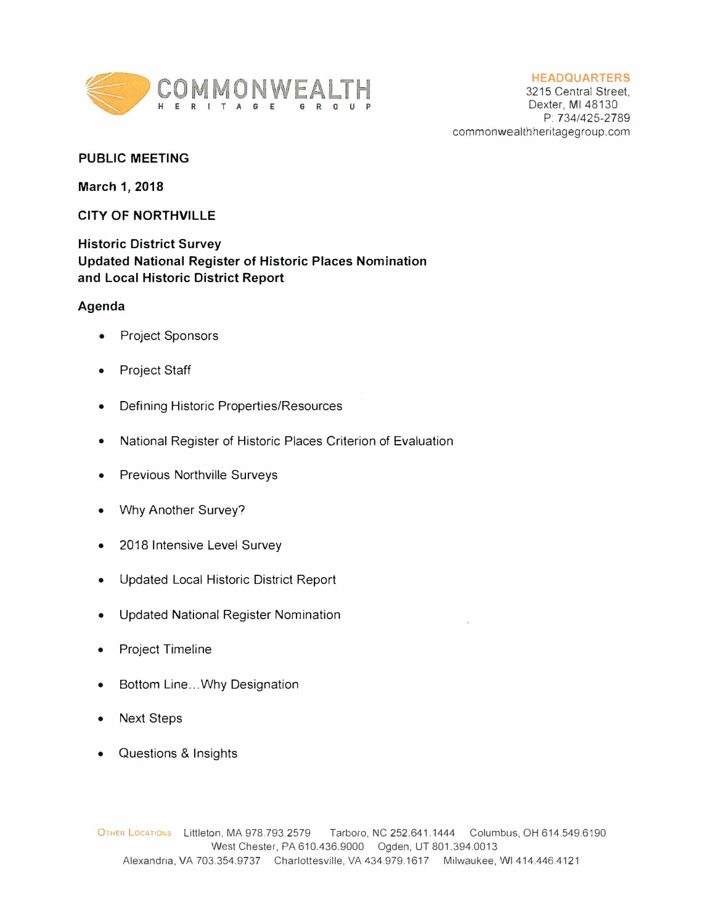

## **HEADQUARTERS**

3215 Central Street, Dexter, Ml 48130 P: 734/425-2789 commonwealthheritagegroup.com

## **PUBLIC MEETING**

**March 1, 2018** 

## **CITY OF NORTHVILLE**

**Historic District Survey Updated National Register of Historic Places Nomination and Local Historic District Report** 

## **Agenda**

- Project Sponsors
- Project Staff
- Defining Historic Properties/Resources
- National Register of Historic Places Criterion of Evaluation
- Previous Northville Surveys
- Why Another Survey?
- 2018 Intensive Level Survey
- Updated Local Historic District Report
- Updated National Register Nomination
- Project Timeline
- Bottom Line ... Why Designation
- Next Steps
- Questions & Insights

OTHER LOCATIONS Littleton, MA 978.793.2579 Tarboro, NC 252.641.1444 Columbus, OH 614.549.6190 West Chester, PA 610.436.9000 Ogden, UT 801.394.0013 Alexandria, VA 703.354.9737 Charlottesville, VA 434.979.1617 Milwaukee, WI 414.446.4121